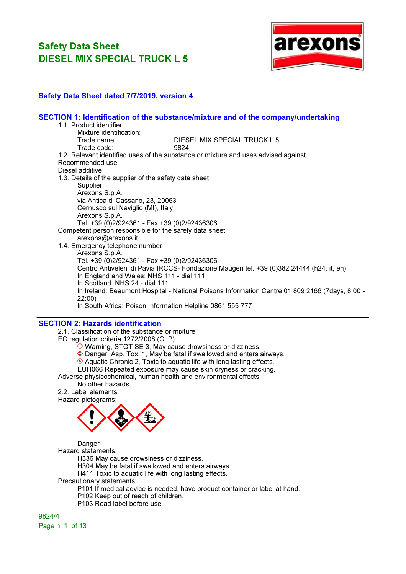

### Safety Data Sheet dated 7/7/2019, version 4

|                                                         | SECTION 1: Identification of the substance/mixture and of the company/undertaking              |
|---------------------------------------------------------|------------------------------------------------------------------------------------------------|
| 1.1. Product identifier                                 |                                                                                                |
| Mixture identification:                                 |                                                                                                |
| Trade name:                                             | DIESEL MIX SPECIAL TRUCK L 5                                                                   |
| Trade code:                                             | 9824                                                                                           |
|                                                         | 1.2. Relevant identified uses of the substance or mixture and uses advised against             |
| Recommended use:                                        |                                                                                                |
| Diesel additive                                         |                                                                                                |
| 1.3. Details of the supplier of the safety data sheet   |                                                                                                |
| Supplier:                                               |                                                                                                |
| Arexons S.p.A.                                          |                                                                                                |
| via Antica di Cassano, 23, 20063                        |                                                                                                |
| Cernusco sul Naviglio (MI), Italy                       |                                                                                                |
| Arexons S.p.A.                                          |                                                                                                |
| Tel. +39 (0)2/924361 - Fax +39 (0)2/92436306            |                                                                                                |
| Competent person responsible for the safety data sheet: |                                                                                                |
| arexons@arexons.it                                      |                                                                                                |
| 1.4. Emergency telephone number                         |                                                                                                |
| Arexons S.p.A.                                          |                                                                                                |
| Tel. +39 (0)2/924361 - Fax +39 (0)2/92436306            |                                                                                                |
|                                                         | Centro Antiveleni di Pavia IRCCS- Fondazione Maugeri tel. +39 (0)382 24444 (h24; it, en)       |
| In England and Wales: NHS 111 - dial 111                |                                                                                                |
| In Scotland: NHS 24 - dial 111                          |                                                                                                |
|                                                         | In Ireland: Beaumont Hospital - National Poisons Information Centre 01 809 2166 (7days, 8:00 - |
| 22:00                                                   |                                                                                                |
|                                                         | In South Africa: Poison Information Helpline 0861 555 777                                      |
| <b>CEOTION O. Harrowin Mandifferdia</b>                 |                                                                                                |

#### SECTION 2: Hazards identification

2.1. Classification of the substance or mixture

EC regulation criteria 1272/2008 (CLP):

- $\Diamond$  Warning, STOT SE 3, May cause drowsiness or dizziness.
- Danger, Asp. Tox. 1, May be fatal if swallowed and enters airways.

 $\Diamond$  Aquatic Chronic 2, Toxic to aquatic life with long lasting effects.

EUH066 Repeated exposure may cause skin dryness or cracking.

Adverse physicochemical, human health and environmental effects:

### No other hazards

2.2. Label elements Hazard pictograms:



Danger

Hazard statements:

H336 May cause drowsiness or dizziness.

H304 May be fatal if swallowed and enters airways.

H411 Toxic to aquatic life with long lasting effects.

Precautionary statements:

P101 If medical advice is needed, have product container or label at hand.

P102 Keep out of reach of children.

P103 Read label before use.

9824/4 Page n. 1 of 13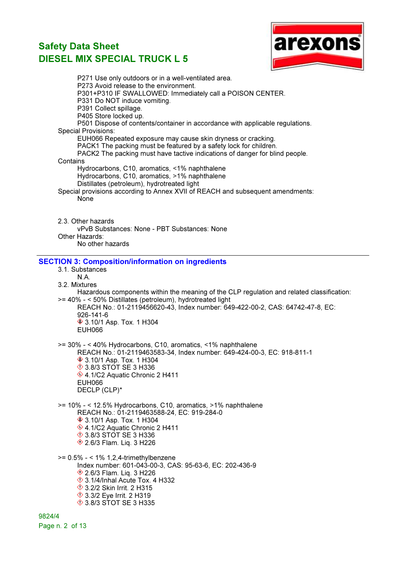

P271 Use only outdoors or in a well-ventilated area. P273 Avoid release to the environment. P301+P310 IF SWALLOWED: Immediately call a POISON CENTER. P331 Do NOT induce vomiting. P391 Collect spillage. P405 Store locked up. P501 Dispose of contents/container in accordance with applicable regulations. Special Provisions: EUH066 Repeated exposure may cause skin dryness or cracking. PACK1 The packing must be featured by a safety lock for children. PACK2 The packing must have tactive indications of danger for blind people. **Contains** Hydrocarbons, C10, aromatics, <1% naphthalene Hydrocarbons, C10, aromatics, >1% naphthalene Distillates (petroleum), hydrotreated light Special provisions according to Annex XVII of REACH and subsequent amendments: None 2.3. Other hazards vPvB Substances: None - PBT Substances: None Other Hazards: No other hazards SECTION 3: Composition/information on ingredients 3.1. Substances N.A. 3.2. Mixtures Hazardous components within the meaning of the CLP regulation and related classification: >= 40% - < 50% Distillates (petroleum), hydrotreated light REACH No.: 01-2119456620-43, Index number: 649-422-00-2, CAS: 64742-47-8, EC: 926-141-6 **♦ 3.10/1 Asp. Tox. 1 H304** EUH066 >= 30% - < 40% Hydrocarbons, C10, aromatics, <1% naphthalene REACH No.: 01-2119463583-34, Index number: 649-424-00-3, EC: 918-811-1 **♦ 3.10/1 Asp. Tox. 1 H304 ♦ 3.8/3 STOT SE 3 H336** ♦ 4.1/C2 Aquatic Chronic 2 H411 EUH066 DECLP (CLP)\* >= 10% - < 12.5% Hydrocarbons, C10, aromatics, >1% naphthalene REACH No.: 01-2119463588-24, EC: 919-284-0 **♦ 3.10/1 Asp. Tox. 1 H304** ♦ 4.1/C2 Aquatic Chronic 2 H411 **♦ 3.8/3 STOT SE 3 H336 ♦ 2.6/3 Flam. Liq. 3 H226** >= 0.5% - < 1% 1,2,4-trimethylbenzene Index number: 601-043-00-3, CAS: 95-63-6, EC: 202-436-9 **♦ 2.6/3 Flam. Liq. 3 H226**  $\hat{\Diamond}$  3.1/4/Inhal Acute Tox. 4 H332 **1**3.2/2 Skin Irrit. 2 H315 **♦ 3.3/2 Eye Irrit. 2 H319 1** 3.8/3 STOT SE 3 H335

9824/4 Page n. 2 of 13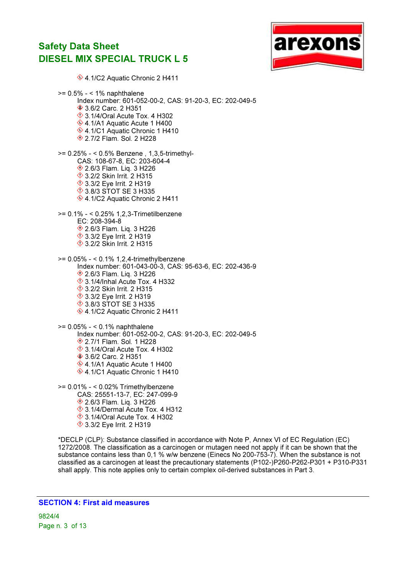

♦ 4.1/C2 Aquatic Chronic 2 H411  $>= 0.5\% - 1\%$  naphthalene Index number: 601-052-00-2, CAS: 91-20-3, EC: 202-049-5 **♦ 3.6/2 Carc. 2 H351**  3.1/4/Oral Acute Tox. 4 H302 4.1/A1 Aquatic Acute 1 H400 4.1/C1 Aquatic Chronic 1 H410 2.7/2 Flam. Sol. 2 H228 >= 0.25% - < 0.5% Benzene , 1,3,5-trimethyl-CAS: 108-67-8, EC: 203-604-4 **♦ 2.6/3 Flam. Lig. 3 H226 ♦ 3.2/2 Skin Irrit. 2 H315 ♦ 3.3/2 Eye Irrit. 2 H319 ♦ 3.8/3 STOT SE 3 H335** ♦ 4.1/C2 Aquatic Chronic 2 H411 >= 0.1% - < 0.25% 1,2,3-Trimetilbenzene EC: 208-394-8 **<sup>◈</sup> 2.6/3 Flam. Lig. 3 H226**  $\textcircled{3}.3/2$  Eye Irrit. 2 H319 3.2/2 Skin Irrit. 2 H315 >= 0.05% - < 0.1% 1,2,4-trimethylbenzene Index number: 601-043-00-3, CAS: 95-63-6, EC: 202-436-9 **<sup>◈</sup> 2.6/3 Flam. Liq. 3 H226**  $\Diamond$  3.1/4/Inhal Acute Tox. 4 H332 **1**3.2/2 Skin Irrit. 2 H315 **♦ 3.3/2 Eye Irrit. 2 H319 ♦ 3.8/3 STOT SE 3 H335** ♦ 4.1/C2 Aquatic Chronic 2 H411 >= 0.05% - < 0.1% naphthalene Index number: 601-052-00-2, CAS: 91-20-3, EC: 202-049-5 2.7/1 Flam. Sol. 1 H228  $\Diamond$  3.1/4/Oral Acute Tox. 4 H302 **♦ 3.6/2 Carc. 2 H351** ♦ 4.1/A1 Aquatic Acute 1 H400 ♦ 4.1/C1 Aquatic Chronic 1 H410 >= 0.01% - < 0.02% Trimethylbenzene CAS: 25551-13-7, EC: 247-099-9

 2.6/3 Flam. Liq. 3 H226  $\Diamond$  3.1/4/Dermal Acute Tox. 4 H312  $\Diamond$  3.1/4/Oral Acute Tox. 4 H302 **♦ 3.3/2 Eye Irrit. 2 H319** 

\*DECLP (CLP): Substance classified in accordance with Note P, Annex VI of EC Regulation (EC) 1272/2008. The classification as a carcinogen or mutagen need not apply if it can be shown that the substance contains less than 0,1 % w/w benzene (Einecs No 200-753-7). When the substance is not classified as a carcinogen at least the precautionary statements (P102-)P260-P262-P301 + P310-P331 shall apply. This note applies only to certain complex oil-derived substances in Part 3.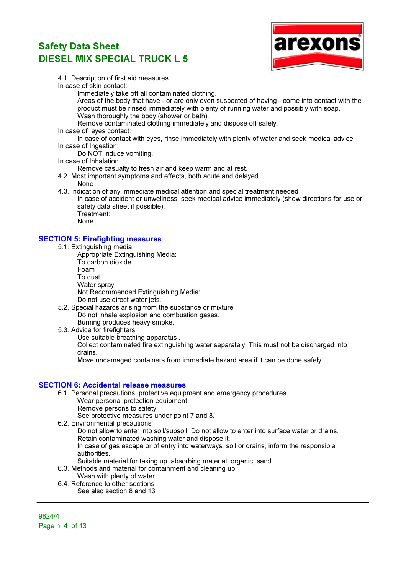

4.1. Description of first aid measures

In case of skin contact:

Immediately take off all contaminated clothing.

Areas of the body that have - or are only even suspected of having - come into contact with the product must be rinsed immediately with plenty of running water and possibly with soap. Wash thoroughly the body (shower or bath).

Remove contaminated clothing immediately and dispose off safely.

In case of eyes contact:

In case of contact with eyes, rinse immediately with plenty of water and seek medical advice. In case of Ingestion:

Do NOT induce vomiting.

### In case of Inhalation:

Remove casualty to fresh air and keep warm and at rest.

- 4.2. Most important symptoms and effects, both acute and delayed
	- None
- 4.3. Indication of any immediate medical attention and special treatment needed

In case of accident or unwellness, seek medical advice immediately (show directions for use or safety data sheet if possible). Treatment:

None

### SECTION 5: Firefighting measures

- 5.1. Extinguishing media
	- Appropriate Extinguishing Media: To carbon dioxide. Foam To dust. Water spray. Not Recommended Extinguishing Media: Do not use direct water jets.
- 5.2. Special hazards arising from the substance or mixture Do not inhale explosion and combustion gases. Burning produces heavy smoke.
- 5.3. Advice for firefighters
	- Use suitable breathing apparatus .

Collect contaminated fire extinguishing water separately. This must not be discharged into drains.

Move undamaged containers from immediate hazard area if it can be done safely.

### SECTION 6: Accidental release measures

- 6.1. Personal precautions, protective equipment and emergency procedures Wear personal protection equipment. Remove persons to safety. See protective measures under point 7 and 8.
- 6.2. Environmental precautions Do not allow to enter into soil/subsoil. Do not allow to enter into surface water or drains. Retain contaminated washing water and dispose it. In case of gas escape or of entry into waterways, soil or drains, inform the responsible authorities. Suitable material for taking up: absorbing material, organic, sand
- 6.3. Methods and material for containment and cleaning up
- Wash with plenty of water.
- 6.4. Reference to other sections See also section 8 and 13

9824/4 Page n. 4 of 13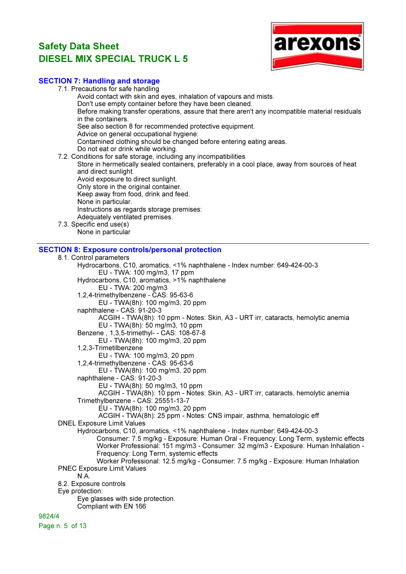

### SECTION 7: Handling and storage

| OEUTIUN 7. Handiniy dhu Sluidye                                                                 |
|-------------------------------------------------------------------------------------------------|
| 7.1. Precautions for safe handling                                                              |
| Avoid contact with skin and eyes, inhalation of vapours and mists.                              |
| Don't use empty container before they have been cleaned.                                        |
| Before making transfer operations, assure that there aren't any incompatible material residuals |
| in the containers.                                                                              |
| See also section 8 for recommended protective equipment.                                        |
| Advice on general occupational hygiene:                                                         |
| Contamined clothing should be changed before entering eating areas.                             |
| Do not eat or drink while working.                                                              |
| 7.2. Conditions for safe storage, including any incompatibilities                               |
| Store in hermetically sealed containers, preferably in a cool place, away from sources of heat  |
| and direct sunlight.                                                                            |
| Avoid exposure to direct sunlight.                                                              |
| Only store in the original container.                                                           |
| Keep away from food, drink and feed.                                                            |
| None in particular.                                                                             |
| Instructions as regards storage premises:                                                       |
| Adequately ventilated premises.                                                                 |
| 7.3. Specific end use(s)                                                                        |
| None in particular                                                                              |
|                                                                                                 |
| <b>SECTION 8: Exposure controls/personal protection</b>                                         |
| 8.1. Control parameters                                                                         |
| Hydrocarbons, C10, aromatics, <1% naphthalene - Index number: 649-424-00-3                      |
| EU - TWA: 100 mg/m3, 17 ppm                                                                     |
| Hydrocarbons, C10, aromatics, >1% naphthalene                                                   |
| EU - TWA: 200 mg/m3                                                                             |
| 1,2,4-trimethylbenzene - CAS: 95-63-6                                                           |
| EU - TWA(8h): 100 mg/m3, 20 ppm                                                                 |
| naphthalene - CAS: 91-20-3                                                                      |
| ACGIH - TWA(8h): 10 ppm - Notes: Skin, A3 - URT irr, cataracts, hemolytic anemia                |
| EU - TWA(8h): 50 mg/m3, 10 ppm                                                                  |
| Benzene, 1,3,5-trimethyl- - CAS: 108-67-8                                                       |
| EU - TWA(8h): 100 mg/m3, 20 ppm                                                                 |
| 1,2,3-Trimetilbenzene                                                                           |
| EU - TWA: 100 mg/m3, 20 ppm                                                                     |
| 1,2,4-trimethylbenzene - CAS: 95-63-6                                                           |
| EU - TWA(8h): 100 mg/m3, 20 ppm                                                                 |
| naphthalene - CAS: 91-20-3                                                                      |
| EU - TWA(8h): 50 mg/m3, 10 ppm                                                                  |
| ACGIH - TWA(8h): 10 ppm - Notes: Skin, A3 - URT irr, cataracts, hemolytic anemia                |
| Trimethylbenzene - CAS: 25551-13-7                                                              |
| EU - TWA(8h): 100 mg/m3, 20 ppm                                                                 |
| ACGIH - TWA(8h): 25 ppm - Notes: CNS impair, asthma, hematologic eff                            |
| <b>DNEL Exposure Limit Values</b>                                                               |
| Hydrocarbons, C10, aromatics, <1% naphthalene - Index number: 649-424-00-3                      |
| Consumer: 7.5 mg/kg - Exposure: Human Oral - Frequency: Long Term, systemic effects             |
| Worker Professional: 151 mg/m3 - Consumer: 32 mg/m3 - Exposure: Human Inhalation -              |
|                                                                                                 |

- Frequency: Long Term, systemic effects
- Worker Professional: 12.5 mg/kg Consumer: 7.5 mg/kg Exposure: Human Inhalation PNEC Exposure Limit Values
- N.A.
- 8.2. Exposure controls
- Eye protection:
	- Eye glasses with side protection. Compliant with EN 166

9824/4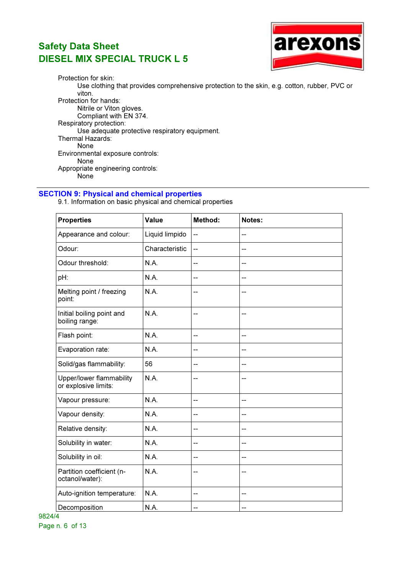

Protection for skin: Use clothing that provides comprehensive protection to the skin, e.g. cotton, rubber, PVC or viton. Protection for hands: Nitrile or Viton gloves. Compliant with EN 374. Respiratory protection: Use adequate protective respiratory equipment. Thermal Hazards: None Environmental exposure controls: None Appropriate engineering controls: None

### SECTION 9: Physical and chemical properties

9.1. Information on basic physical and chemical properties

| <b>Properties</b>                                | <b>Value</b>   | Method:                  | Notes:                   |
|--------------------------------------------------|----------------|--------------------------|--------------------------|
| Appearance and colour:                           | Liquid limpido | $\overline{\phantom{0}}$ | --                       |
| Odour:                                           | Characteristic | --                       | --                       |
| Odour threshold:                                 | N.A.           | --                       | $\overline{\phantom{a}}$ |
| pH:                                              | N.A.           | --                       |                          |
| Melting point / freezing<br>point:               | N.A.           | --                       | $-$                      |
| Initial boiling point and<br>boiling range:      | N.A.           | --                       | --                       |
| Flash point:                                     | N.A.           | --                       | --                       |
| Evaporation rate:                                | N.A.           | --                       | $\overline{\phantom{a}}$ |
| Solid/gas flammability:                          | 56             | --                       |                          |
| Upper/lower flammability<br>or explosive limits: | N.A.           | --                       | $\overline{\phantom{a}}$ |
| Vapour pressure:                                 | N.A.           | --                       | --                       |
| Vapour density:                                  | N.A.           | $-$                      | $\overline{\phantom{a}}$ |
| Relative density:                                | N.A.           | --                       | $-$                      |
| Solubility in water:                             | N.A.           | --                       | $-$                      |
| Solubility in oil:                               | <b>N.A.</b>    | --                       | $-$                      |
| Partition coefficient (n-<br>octanol/water):     | N.A.           | --                       |                          |
| Auto-ignition temperature:                       | N.A.           | --                       | $-$                      |
| Decomposition                                    | N.A.           | --                       | --                       |

9824/4 Page n. 6 of 13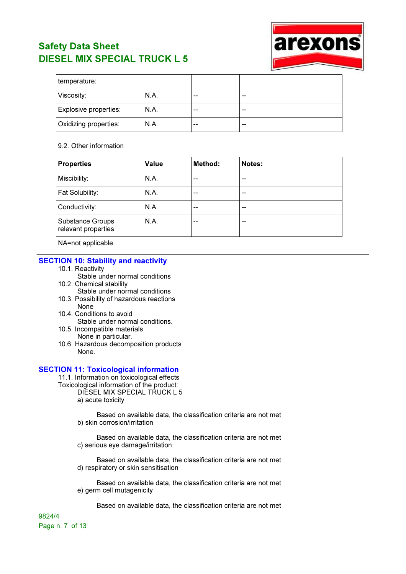

| temperature:          |      |       |    |
|-----------------------|------|-------|----|
| Viscosity:            | N.A. | $- -$ | -- |
| Explosive properties: | N.A. | --    | -- |
| Oxidizing properties: | N.A. | $- -$ | -- |

#### 9.2. Other information

| <b>Properties</b>                              | <b>Value</b> | Method: | Notes: |
|------------------------------------------------|--------------|---------|--------|
| Miscibility:                                   | N.A.         | --      | --     |
| Fat Solubility:                                | N.A.         | --      | --     |
| Conductivity:                                  | N.A.         | --      | --     |
| <b>Substance Groups</b><br>relevant properties | N.A.         | --      | --     |

NA=not applicable

#### SECTION 10: Stability and reactivity

- 10.1. Reactivity
	- Stable under normal conditions
- 10.2. Chemical stability Stable under normal conditions
- 10.3. Possibility of hazardous reactions None
- 10.4. Conditions to avoid Stable under normal conditions.
- 10.5. Incompatible materials None in particular.
- 10.6. Hazardous decomposition products None.

#### SECTION 11: Toxicological information

11.1. Information on toxicological effects Toxicological information of the product: DIESEL MIX SPECIAL TRUCK L 5 a) acute toxicity

> Based on available data, the classification criteria are not met b) skin corrosion/irritation

> Based on available data, the classification criteria are not met c) serious eye damage/irritation

> Based on available data, the classification criteria are not met d) respiratory or skin sensitisation

> Based on available data, the classification criteria are not met e) germ cell mutagenicity

Based on available data, the classification criteria are not met

9824/4 Page n. 7 of 13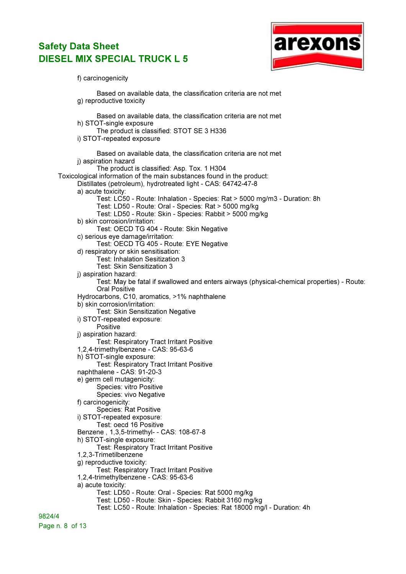

f) carcinogenicity

Based on available data, the classification criteria are not met g) reproductive toxicity Based on available data, the classification criteria are not met h) STOT-single exposure The product is classified: STOT SE 3 H336 i) STOT-repeated exposure Based on available data, the classification criteria are not met j) aspiration hazard The product is classified: Asp. Tox. 1 H304 Toxicological information of the main substances found in the product: Distillates (petroleum), hydrotreated light - CAS: 64742-47-8 a) acute toxicity: Test: LC50 - Route: Inhalation - Species: Rat > 5000 mg/m3 - Duration: 8h Test: LD50 - Route: Oral - Species: Rat > 5000 mg/kg Test: LD50 - Route: Skin - Species: Rabbit > 5000 mg/kg b) skin corrosion/irritation: Test: OECD TG 404 - Route: Skin Negative c) serious eye damage/irritation: Test: OECD TG 405 - Route: EYE Negative d) respiratory or skin sensitisation: Test: Inhalation Sesitization 3 Test: Skin Sensitization 3 j) aspiration hazard: Test: May be fatal if swallowed and enters airways (physical-chemical properties) - Route: Oral Positive Hydrocarbons, C10, aromatics, >1% naphthalene b) skin corrosion/irritation: Test: Skin Sensitization Negative i) STOT-repeated exposure: Positive j) aspiration hazard: Test: Respiratory Tract Irritant Positive 1,2,4-trimethylbenzene - CAS: 95-63-6 h) STOT-single exposure: Test: Respiratory Tract Irritant Positive naphthalene - CAS: 91-20-3 e) germ cell mutagenicity: Species: vitro Positive Species: vivo Negative f) carcinogenicity: Species: Rat Positive i) STOT-repeated exposure: Test: oecd 16 Positive Benzene , 1,3,5-trimethyl- - CAS: 108-67-8 h) STOT-single exposure: Test: Respiratory Tract Irritant Positive 1,2,3-Trimetilbenzene g) reproductive toxicity: Test: Respiratory Tract Irritant Positive 1,2,4-trimethylbenzene - CAS: 95-63-6 a) acute toxicity: Test: LD50 - Route: Oral - Species: Rat 5000 mg/kg Test: LD50 - Route: Skin - Species: Rabbit 3160 mg/kg Test: LC50 - Route: Inhalation - Species: Rat 18000 mg/l - Duration: 4h

9824/4 Page n. 8 of 13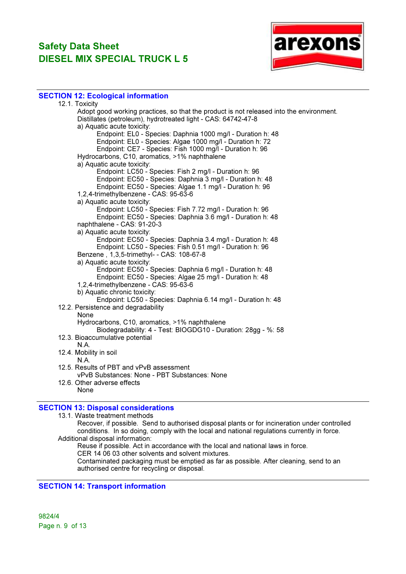

#### SECTION 12: Ecological information

| 12.1. Toxicity                                                                          |  |
|-----------------------------------------------------------------------------------------|--|
| Adopt good working practices, so that the product is not released into the environment. |  |
| Distillates (petroleum), hydrotreated light - CAS: 64742-47-8                           |  |
| a) Aquatic acute toxicity:                                                              |  |
| Endpoint: EL0 - Species: Daphnia 1000 mg/l - Duration h: 48                             |  |
| Endpoint: EL0 - Species: Algae 1000 mg/l - Duration h: 72                               |  |
| Endpoint: CE7 - Species: Fish 1000 mg/l - Duration h: 96                                |  |
| Hydrocarbons, C10, aromatics, >1% naphthalene                                           |  |
| a) Aquatic acute toxicity:                                                              |  |
| Endpoint: LC50 - Species: Fish 2 mg/l - Duration h: 96                                  |  |
| Endpoint: EC50 - Species: Daphnia 3 mg/l - Duration h: 48                               |  |
| Endpoint: EC50 - Species: Algae 1.1 mg/l - Duration h: 96                               |  |
| 1,2,4-trimethylbenzene - CAS: 95-63-6                                                   |  |
| a) Aquatic acute toxicity:                                                              |  |
| Endpoint: LC50 - Species: Fish 7.72 mg/l - Duration h: 96                               |  |
| Endpoint: EC50 - Species: Daphnia 3.6 mg/l - Duration h: 48                             |  |
| naphthalene - CAS: 91-20-3                                                              |  |
| a) Aquatic acute toxicity:                                                              |  |
| Endpoint: EC50 - Species: Daphnia 3.4 mg/l - Duration h: 48                             |  |
| Endpoint: LC50 - Species: Fish 0.51 mg/l - Duration h: 96                               |  |
| Benzene, 1,3,5-trimethyl- - CAS: 108-67-8                                               |  |
| a) Aquatic acute toxicity:                                                              |  |
| Endpoint: EC50 - Species: Daphnia 6 mg/l - Duration h: 48                               |  |
| Endpoint: EC50 - Species: Algae 25 mg/l - Duration h: 48                                |  |
| 1,2,4-trimethylbenzene - CAS: 95-63-6                                                   |  |
| b) Aquatic chronic toxicity:                                                            |  |
| Endpoint: LC50 - Species: Daphnia 6.14 mg/l - Duration h: 48                            |  |
| 12.2. Persistence and degradability                                                     |  |
| None                                                                                    |  |
| Hydrocarbons, C10, aromatics, >1% naphthalene                                           |  |
| Biodegradability: 4 - Test: BIOGDG10 - Duration: 28gg - %: 58                           |  |
| 12.3. Bioaccumulative potential                                                         |  |
| N.A.                                                                                    |  |
| 12.4. Mobility in soil<br>N.A.                                                          |  |
| 12.5. Results of PBT and vPvB assessment                                                |  |
| vPvB Substances: None - PBT Substances: None                                            |  |
| 12.6. Other adverse effects                                                             |  |
| None                                                                                    |  |
|                                                                                         |  |
|                                                                                         |  |

### SECTION 13: Disposal considerations

13.1. Waste treatment methods

Recover, if possible. Send to authorised disposal plants or for incineration under controlled conditions. In so doing, comply with the local and national regulations currently in force. Additional disposal information:

Reuse if possible. Act in accordance with the local and national laws in force. CER 14 06 03 other solvents and solvent mixtures. Contaminated packaging must be emptied as far as possible. After cleaning, send to an authorised centre for recycling or disposal.

#### SECTION 14: Transport information

9824/4 Page n. 9 of 13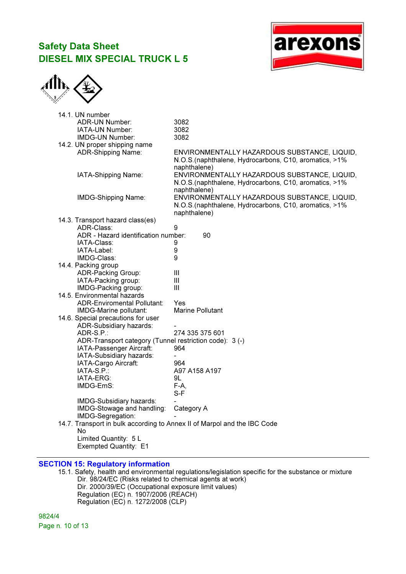



| 14.1. UN number                                                          |                                                        |
|--------------------------------------------------------------------------|--------------------------------------------------------|
| <b>ADR-UN Number:</b>                                                    | 3082                                                   |
| IATA-UN Number:                                                          | 3082                                                   |
| IMDG-UN Number:                                                          | 3082                                                   |
| 14.2. UN proper shipping name                                            |                                                        |
| ADR-Shipping Name:                                                       | ENVIRONMENTALLY HAZARDOUS SUBSTANCE, LIQUID,           |
|                                                                          | N.O.S.(naphthalene, Hydrocarbons, C10, aromatics, >1%  |
|                                                                          | naphthalene)                                           |
| IATA-Shipping Name:                                                      | ENVIRONMENTALLY HAZARDOUS SUBSTANCE, LIQUID,           |
|                                                                          | N.O.S. (naphthalene, Hydrocarbons, C10, aromatics, >1% |
|                                                                          | naphthalene)                                           |
| IMDG-Shipping Name:                                                      | ENVIRONMENTALLY HAZARDOUS SUBSTANCE, LIQUID,           |
|                                                                          | N.O.S.(naphthalene, Hydrocarbons, C10, aromatics, >1%  |
|                                                                          | naphthalene)                                           |
| 14.3. Transport hazard class(es)                                         |                                                        |
| ADR-Class:                                                               | 9                                                      |
| ADR - Hazard identification number:                                      | 90                                                     |
| IATA-Class:                                                              | 9                                                      |
| IATA-Label:                                                              | 9                                                      |
| IMDG-Class:                                                              | 9                                                      |
| 14.4. Packing group                                                      |                                                        |
| ADR-Packing Group:                                                       | Ш                                                      |
| IATA-Packing group:                                                      | Ш                                                      |
| IMDG-Packing group:                                                      | Ш                                                      |
| 14.5. Environmental hazards                                              |                                                        |
| <b>ADR-Enviromental Pollutant:</b>                                       | Yes                                                    |
| IMDG-Marine pollutant:                                                   | Marine Pollutant                                       |
| 14.6. Special precautions for user                                       |                                                        |
| ADR-Subsidiary hazards:                                                  |                                                        |
| ADR-S.P.:                                                                | 274 335 375 601                                        |
| ADR-Transport category (Tunnel restriction code): 3 (-)                  |                                                        |
| IATA-Passenger Aircraft:                                                 | 964                                                    |
| IATA-Subsidiary hazards:                                                 |                                                        |
| IATA-Cargo Aircraft:                                                     | 964                                                    |
| $IATA-S.P.$ :                                                            | A97 A158 A197                                          |
| IATA-ERG:                                                                | 9L                                                     |
| IMDG-EmS:                                                                | $F-A$ ,                                                |
|                                                                          | $S-F$                                                  |
| IMDG-Subsidiary hazards:                                                 |                                                        |
| IMDG-Stowage and handling:                                               | Category A                                             |
| IMDG-Segregation:                                                        |                                                        |
| 14.7. Transport in bulk according to Annex II of Marpol and the IBC Code |                                                        |
| No                                                                       |                                                        |
| Limited Quantity: 5 L                                                    |                                                        |
| Exempted Quantity: E1                                                    |                                                        |
|                                                                          |                                                        |

### SECTION 15: Regulatory information

15.1. Safety, health and environmental regulations/legislation specific for the substance or mixture Dir. 98/24/EC (Risks related to chemical agents at work) Dir. 2000/39/EC (Occupational exposure limit values) Regulation (EC) n. 1907/2006 (REACH) Regulation (EC) n. 1272/2008 (CLP)

9824/4 Page n. 10 of 13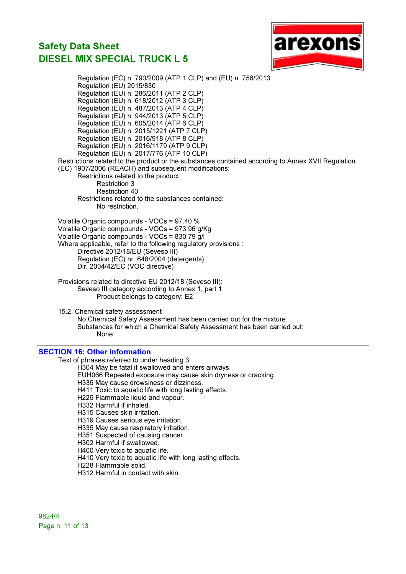

Regulation (EC) n. 790/2009 (ATP 1 CLP) and (EU) n. 758/2013 Regulation (EU) 2015/830 Regulation (EU) n. 286/2011 (ATP 2 CLP) Regulation (EU) n. 618/2012 (ATP 3 CLP) Regulation (EU) n. 487/2013 (ATP 4 CLP) Regulation (EU) n. 944/2013 (ATP 5 CLP) Regulation (EU) n. 605/2014 (ATP 6 CLP) Regulation (EU) n. 2015/1221 (ATP 7 CLP) Regulation (EU) n. 2016/918 (ATP 8 CLP) Regulation (EU) n. 2016/1179 (ATP 9 CLP) Regulation (EU) n. 2017/776 (ATP 10 CLP) Restrictions related to the product or the substances contained according to Annex XVII Regulation (EC) 1907/2006 (REACH) and subsequent modifications: Restrictions related to the product: Restriction 3 Restriction 40 Restrictions related to the substances contained: No restriction. Volatile Organic compounds - VOCs = 97.40 % Volatile Organic compounds - VOCs = 973.96 g/Kg Volatile Organic compounds - VOCs = 830.79 g/l Where applicable, refer to the following regulatory provisions : Directive 2012/18/EU (Seveso III) Regulation (EC) nr 648/2004 (detergents). Dir. 2004/42/EC (VOC directive) Provisions related to directive EU 2012/18 (Seveso III): Seveso III category according to Annex 1, part 1 Product belongs to category: E2 15.2. Chemical safety assessment No Chemical Safety Assessment has been carried out for the mixture. Substances for which a Chemical Safety Assessment has been carried out: None

### SECTION 16: Other information

Text of phrases referred to under heading 3:

H304 May be fatal if swallowed and enters airways.

- EUH066 Repeated exposure may cause skin dryness or cracking.
- H336 May cause drowsiness or dizziness.
- H411 Toxic to aquatic life with long lasting effects.
- H226 Flammable liquid and vapour.
- H332 Harmful if inhaled.
- H315 Causes skin irritation.

H319 Causes serious eye irritation.

- H335 May cause respiratory irritation.
- H351 Suspected of causing cancer.
- H302 Harmful if swallowed.
- H400 Very toxic to aquatic life.
- H410 Very toxic to aquatic life with long lasting effects.
- H228 Flammable solid.
- H312 Harmful in contact with skin.

9824/4 Page n. 11 of 13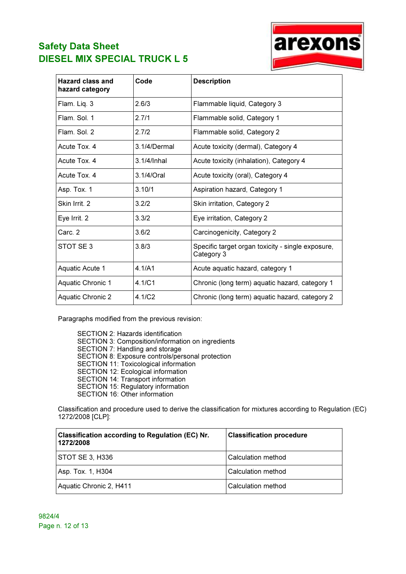

arexons

Paragraphs modified from the previous revision:

SECTION 2: Hazards identification SECTION 3: Composition/information on ingredients SECTION 7: Handling and storage SECTION 8: Exposure controls/personal protection SECTION 11: Toxicological information SECTION 12: Ecological information SECTION 14: Transport information SECTION 15: Regulatory information SECTION 16: Other information

Classification and procedure used to derive the classification for mixtures according to Regulation (EC) 1272/2008 [CLP]:

| Classification according to Regulation (EC) Nr.<br>1272/2008 | <b>Classification procedure</b> |
|--------------------------------------------------------------|---------------------------------|
| STOT SE 3, H336                                              | Calculation method              |
| Asp. Tox. 1, H304                                            | Calculation method              |
| Aquatic Chronic 2, H411                                      | Calculation method              |